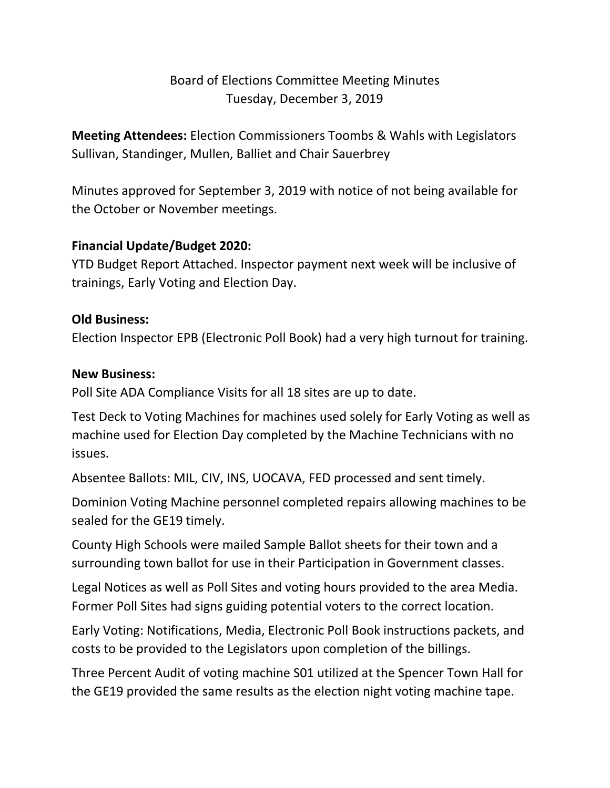# Board of Elections Committee Meeting Minutes Tuesday, December 3, 2019

**Meeting Attendees:** Election Commissioners Toombs & Wahls with Legislators Sullivan, Standinger, Mullen, Balliet and Chair Sauerbrey

Minutes approved for September 3, 2019 with notice of not being available for the October or November meetings.

### **Financial Update/Budget 2020:**

YTD Budget Report Attached. Inspector payment next week will be inclusive of trainings, Early Voting and Election Day.

#### **Old Business:**

Election Inspector EPB (Electronic Poll Book) had a very high turnout for training.

#### **New Business:**

Poll Site ADA Compliance Visits for all 18 sites are up to date.

Test Deck to Voting Machines for machines used solely for Early Voting as well as machine used for Election Day completed by the Machine Technicians with no issues.

Absentee Ballots: MIL, CIV, INS, UOCAVA, FED processed and sent timely.

Dominion Voting Machine personnel completed repairs allowing machines to be sealed for the GE19 timely.

County High Schools were mailed Sample Ballot sheets for their town and a surrounding town ballot for use in their Participation in Government classes.

Legal Notices as well as Poll Sites and voting hours provided to the area Media. Former Poll Sites had signs guiding potential voters to the correct location.

Early Voting: Notifications, Media, Electronic Poll Book instructions packets, and costs to be provided to the Legislators upon completion of the billings.

Three Percent Audit of voting machine S01 utilized at the Spencer Town Hall for the GE19 provided the same results as the election night voting machine tape.